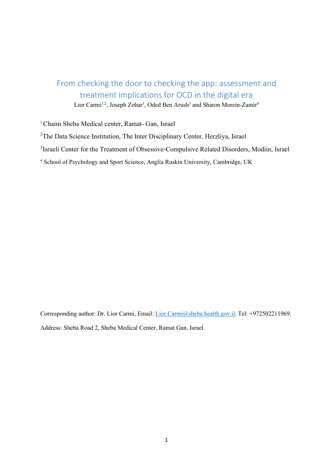# From checking the door to checking the app: assessment and treatment implications for OCD in the digital era

Lior Carmi<sup>1,2</sup>, Joseph Zohar<sup>1</sup>, Oded Ben Arush<sup>3</sup> and Sharon Morein-Zamir<sup>4</sup>

<sup>1</sup> Chaim Sheba Medical center, Ramat- Gan, Israel

<sup>2</sup>The Data Science Institution, The Inter Disciplinary Center, Herzliya, Israel

<sup>3</sup>Israeli Center for the Treatment of Obsessive-Compulsive Related Disorders, Modiin, Israel

<sup>4</sup> School of Psychology and Sport Science, Anglia Ruskin University, Cambridge, UK

Corresponding author: Dr. Lior Carmi, Email: [Lior.Carmi@sheba.health.gov.il.](mailto:Lior.Carmi@sheba.health.gov.il) Tel: +972502211969. Address: Sheba Road 2, Sheba Medical Center, Ramat Gan, Israel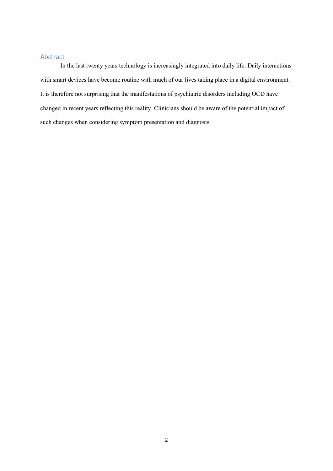## Abstract

In the last twenty years technology is increasingly integrated into daily life. Daily interactions with smart devices have become routine with much of our lives taking place in a digital environment. It is therefore not surprising that the manifestations of psychiatric disorders including OCD have changed in recent years reflecting this reality. Clinicians should be aware of the potential impact of such changes when considering symptom presentation and diagnosis.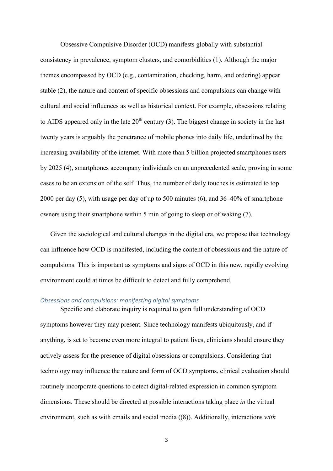Obsessive Compulsive Disorder (OCD) manifests globally with substantial consistency in prevalence, symptom clusters, and comorbidities [\(1\)](#page-5-0). Although the major themes encompassed by OCD (e.g., contamination, checking, harm, and ordering) appear stable [\(2\)](#page-5-1), the nature and content of specific obsessions and compulsions can change with cultural and social influences as well as historical context. For example, obsessions relating to AIDS appeared only in the late  $20<sup>th</sup>$  century [\(3\)](#page-5-2). The biggest change in society in the last twenty years is arguably the penetrance of mobile phones into daily life, underlined by the increasing availability of the internet. With more than 5 billion projected smartphones users by 2025 [\(4\)](#page-5-3), smartphones accompany individuals on an unprecedented scale, proving in some cases to be an extension of the self. Thus, the number of daily touches is estimated to top 2000 per day [\(5\)](#page-5-4), with usage per day of up to 500 minutes [\(6\)](#page-5-5), and 36–40% of smartphone owners using their smartphone within 5 min of going to sleep or of waking [\(7\)](#page-5-6).

Given the sociological and cultural changes in the digital era, we propose that technology can influence how OCD is manifested, including the content of obsessions and the nature of compulsions. This is important as symptoms and signs of OCD in this new, rapidly evolving environment could at times be difficult to detect and fully comprehend.

#### *Obsessions and compulsions: manifesting digital symptoms*

Specific and elaborate inquiry is required to gain full understanding of OCD symptoms however they may present. Since technology manifests ubiquitously, and if anything, is set to become even more integral to patient lives, clinicians should ensure they actively assess for the presence of digital obsessions or compulsions. Considering that technology may influence the nature and form of OCD symptoms, clinical evaluation should routinely incorporate questions to detect digital-related expression in common symptom dimensions. These should be directed at possible interactions taking place *in* the virtual environment, such as with emails and social media ([\(8\)](#page-5-7)). Additionally, interactions *with*

3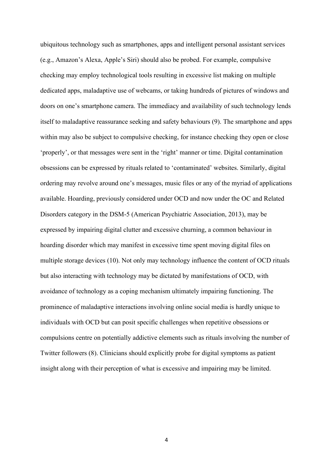ubiquitous technology such as smartphones, apps and intelligent personal assistant services (e.g., Amazon's Alexa, Apple's Siri) should also be probed. For example, compulsive checking may employ technological tools resulting in excessive list making on multiple dedicated apps, maladaptive use of webcams, or taking hundreds of pictures of windows and doors on one's smartphone camera. The immediacy and availability of such technology lends itself to maladaptive reassurance seeking and safety behaviours [\(9\)](#page-5-8). The smartphone and apps within may also be subject to compulsive checking, for instance checking they open or close 'properly', or that messages were sent in the 'right' manner or time. Digital contamination obsessions can be expressed by rituals related to 'contaminated' websites. Similarly, digital ordering may revolve around one's messages, music files or any of the myriad of applications available. Hoarding, previously considered under OCD and now under the OC and Related Disorders category in the DSM-5 (American Psychiatric Association, 2013), may be expressed by impairing digital clutter and excessive churning, a common behaviour in hoarding disorder which may manifest in excessive time spent moving digital files on multiple storage devices [\(10\)](#page-5-9). Not only may technology influence the content of OCD rituals but also interacting with technology may be dictated by manifestations of OCD, with avoidance of technology as a coping mechanism ultimately impairing functioning. The prominence of maladaptive interactions involving online social media is hardly unique to individuals with OCD but can posit specific challenges when repetitive obsessions or compulsions centre on potentially addictive elements such as rituals involving the number of Twitter followers [\(8\)](#page-5-7). Clinicians should explicitly probe for digital symptoms as patient insight along with their perception of what is excessive and impairing may be limited.

4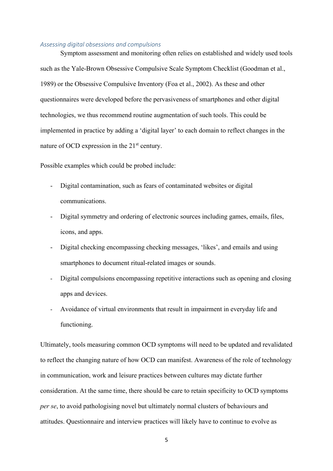#### *Assessing digital obsessions and compulsions*

Symptom assessment and monitoring often relies on established and widely used tools such as the Yale-Brown Obsessive Compulsive Scale Symptom Checklist (Goodman et al., 1989) or the Obsessive Compulsive Inventory (Foa et al., 2002). As these and other questionnaires were developed before the pervasiveness of smartphones and other digital technologies, we thus recommend routine augmentation of such tools. This could be implemented in practice by adding a 'digital layer' to each domain to reflect changes in the nature of OCD expression in the  $21<sup>st</sup>$  century.

Possible examples which could be probed include:

- Digital contamination, such as fears of contaminated websites or digital communications.
- Digital symmetry and ordering of electronic sources including games, emails, files, icons, and apps.
- Digital checking encompassing checking messages, 'likes', and emails and using smartphones to document ritual-related images or sounds.
- Digital compulsions encompassing repetitive interactions such as opening and closing apps and devices.
- Avoidance of virtual environments that result in impairment in everyday life and functioning.

Ultimately, tools measuring common OCD symptoms will need to be updated and revalidated to reflect the changing nature of how OCD can manifest. Awareness of the role of technology in communication, work and leisure practices between cultures may dictate further consideration. At the same time, there should be care to retain specificity to OCD symptoms *per se*, to avoid pathologising novel but ultimately normal clusters of behaviours and attitudes. Questionnaire and interview practices will likely have to continue to evolve as